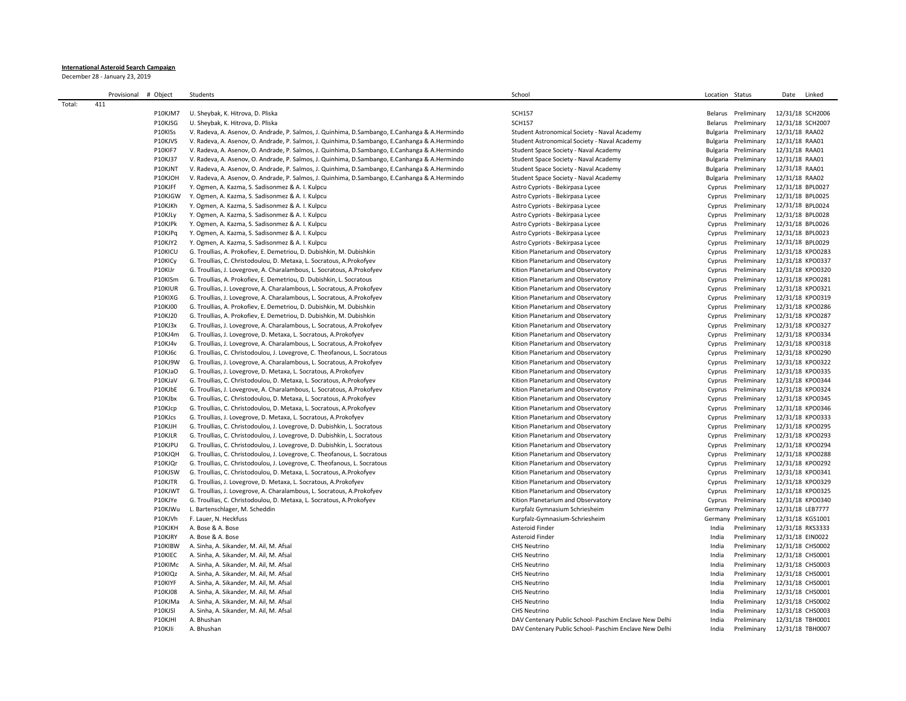## **International Asteroid Search Campaign**

December 28 - January 23, 2019

|        | # Object<br>Provisional |                | Students                                                                                         | School                                                 | Location Status |                     | Date             | Linked           |
|--------|-------------------------|----------------|--------------------------------------------------------------------------------------------------|--------------------------------------------------------|-----------------|---------------------|------------------|------------------|
| Total: | 411                     |                |                                                                                                  |                                                        |                 |                     |                  |                  |
|        |                         | P10KJM7        | U. Sheybak, K. Hitrova, D. Pliska                                                                | <b>SCH157</b>                                          |                 | Belarus Preliminary | 12/31/18 SCH2006 |                  |
|        |                         | P10KJSG        | U. Sheybak, K. Hitrova, D. Pliska                                                                | <b>SCH157</b>                                          |                 | Belarus Preliminary | 12/31/18 SCH2007 |                  |
|        |                         | P10KISs        | V. Radeva, A. Asenov, O. Andrade, P. Salmos, J. Quinhima, D. Sambango, E. Canhanga & A. Hermindo | Student Astronomical Society - Naval Academy           | Bulgaria        | Preliminary         | 12/31/18 RAA02   |                  |
|        |                         | P10KJVS        | V. Radeva, A. Asenov, O. Andrade, P. Salmos, J. Quinhima, D. Sambango, E. Canhanga & A. Hermindo | Student Astronomical Society - Naval Academy           | Bulgaria        | Preliminary         | 12/31/18 RAA01   |                  |
|        |                         | P10KIF7        | V. Radeva, A. Asenov, O. Andrade, P. Salmos, J. Quinhima, D. Sambango, E. Canhanga & A. Hermindo | Student Space Society - Naval Academy                  | Bulgaria        | Preliminary         | 12/31/18 RAA01   |                  |
|        |                         | P10KJ37        | V. Radeva, A. Asenov, O. Andrade, P. Salmos, J. Quinhima, D. Sambango, E. Canhanga & A. Hermindo | Student Space Society - Naval Academy                  | Bulgaria        | Preliminary         | 12/31/18 RAA01   |                  |
|        |                         | P10KJNT        | V. Radeva, A. Asenov, O. Andrade, P. Salmos, J. Quinhima, D. Sambango, E. Canhanga & A. Hermindo | Student Space Society - Naval Academy                  | Bulgaria        | Preliminary         | 12/31/18 RAA01   |                  |
|        |                         | P10KJOH        | V. Radeva, A. Asenov, O. Andrade, P. Salmos, J. Quinhima, D. Sambango, E. Canhanga & A. Hermindo | Student Space Society - Naval Academy                  | Bulgaria        | Preliminary         | 12/31/18 RAA02   |                  |
|        |                         | P10KJFf        | Y. Ogmen, A. Kazma, S. Sadisonmez & A. I. Kulpcu                                                 | Astro Cypriots - Bekirpasa Lycee                       | Cyprus          | Preliminary         | 12/31/18 BPL0027 |                  |
|        |                         | P10KJGW        | Y. Ogmen, A. Kazma, S. Sadisonmez & A. I. Kulpcu                                                 | Astro Cypriots - Bekirpasa Lycee                       | Cyprus          | Preliminary         | 12/31/18 BPL0025 |                  |
|        |                         | P10KJKh        | Y. Ogmen, A. Kazma, S. Sadisonmez & A. I. Kulpcu                                                 | Astro Cypriots - Bekirpasa Lycee                       | Cyprus          | Preliminary         | 12/31/18 BPL0024 |                  |
|        |                         | P10KJLy        | Y. Ogmen, A. Kazma, S. Sadisonmez & A. I. Kulpcu                                                 | Astro Cypriots - Bekirpasa Lycee                       | Cyprus          | Preliminary         | 12/31/18 BPL0028 |                  |
|        |                         | P10KJPk        | Y. Ogmen, A. Kazma, S. Sadisonmez & A. I. Kulpcu                                                 | Astro Cypriots - Bekirpasa Lycee                       | Cyprus          | Preliminary         | 12/31/18 BPL0026 |                  |
|        |                         | P10KJPq        | Y. Ogmen, A. Kazma, S. Sadisonmez & A. I. Kulpcu                                                 | Astro Cypriots - Bekirpasa Lycee                       | Cyprus          | Preliminary         | 12/31/18 BPL0023 |                  |
|        |                         | P10KJY2        | Y. Ogmen, A. Kazma, S. Sadisonmez & A. I. Kulpcu                                                 | Astro Cypriots - Bekirpasa Lycee                       | Cyprus          | Preliminary         | 12/31/18 BPL0029 |                  |
|        |                         | P10KICU        | G. Troullias, A. Prokofiev, E. Demetriou, D. Dubishkin, M. Dubishkin                             | Kition Planetarium and Observatory                     | Cyprus          | Preliminary         |                  | 12/31/18 KPO0283 |
|        |                         | P10KICy        | G. Troullias, C. Christodoulou, D. Metaxa, L. Socratous, A.Prokofyev                             | Kition Planetarium and Observatory                     | Cyprus          | Preliminary         |                  | 12/31/18 KPO0337 |
|        |                         | P10KIJr        | G. Troullias, J. Lovegrove, A. Charalambous, L. Socratous, A. Prokofyev                          | Kition Planetarium and Observatory                     | Cyprus          | Preliminary         | 12/31/18 KPO0320 |                  |
|        |                         | P10KISm        | G. Troullias, A. Prokofiev, E. Demetriou, D. Dubishkin, L. Socratous                             | Kition Planetarium and Observatory                     | Cyprus          | Preliminary         |                  | 12/31/18 KPO0281 |
|        |                         | P10KIUR        | G. Troullias, J. Lovegrove, A. Charalambous, L. Socratous, A. Prokofyev                          | Kition Planetarium and Observatory                     | Cyprus          | Preliminary         | 12/31/18 KPO0321 |                  |
|        |                         | P10KIXG        | G. Troullias, J. Lovegrove, A. Charalambous, L. Socratous, A. Prokofyev                          | Kition Planetarium and Observatory                     | Cyprus          | Preliminary         |                  | 12/31/18 KPO0319 |
|        |                         | P10KJ00        | G. Troullias, A. Prokofiev, E. Demetriou, D. Dubishkin, M. Dubishkin                             | Kition Planetarium and Observatory                     | Cyprus          | Preliminary         | 12/31/18 KPO0286 |                  |
|        |                         | P10KJ20        | G. Troullias, A. Prokofiev, E. Demetriou, D. Dubishkin, M. Dubishkin                             | Kition Planetarium and Observatory                     | Cyprus          | Preliminary         | 12/31/18 KPO0287 |                  |
|        |                         | P10KJ3x        | G. Troullias, J. Lovegrove, A. Charalambous, L. Socratous, A. Prokofyev                          | Kition Planetarium and Observatory                     | Cyprus          | Preliminary         | 12/31/18 KPO0327 |                  |
|        |                         | P10KJ4m        | G. Troullias, J. Lovegrove, D. Metaxa, L. Socratous, A.Prokofyev                                 | Kition Planetarium and Observatory                     | Cyprus          | Preliminary         |                  | 12/31/18 KPO0334 |
|        |                         | P10KJ4v        | G. Troullias, J. Lovegrove, A. Charalambous, L. Socratous, A. Prokofyev                          | Kition Planetarium and Observatory                     | Cyprus          | Preliminary         | 12/31/18 KPO0318 |                  |
|        |                         | P10KJ6c        | G. Troullias, C. Christodoulou, J. Lovegrove, C. Theofanous, L. Socratous                        | Kition Planetarium and Observatory                     | Cyprus          | Preliminary         |                  | 12/31/18 KPO0290 |
|        |                         | P10KJ9W        | G. Troullias, J. Lovegrove, A. Charalambous, L. Socratous, A. Prokofyev                          | Kition Planetarium and Observatory                     | Cyprus          | Preliminary         |                  | 12/31/18 KPO0322 |
|        |                         | P10KJaO        | G. Troullias, J. Lovegrove, D. Metaxa, L. Socratous, A.Prokofyev                                 | Kition Planetarium and Observatory                     | Cyprus          | Preliminary         |                  | 12/31/18 KPO0335 |
|        |                         | P10KJaV        | G. Troullias, C. Christodoulou, D. Metaxa, L. Socratous, A. Prokofyev                            | Kition Planetarium and Observatory                     | Cyprus          | Preliminary         |                  | 12/31/18 KPO0344 |
|        |                         | P10KJbE        | G. Troullias, J. Lovegrove, A. Charalambous, L. Socratous, A. Prokofyev                          | Kition Planetarium and Observatory                     | Cyprus          | Preliminary         | 12/31/18 KPO0324 |                  |
|        |                         | P10KJbx        | G. Troullias, C. Christodoulou, D. Metaxa, L. Socratous, A. Prokofyev                            | Kition Planetarium and Observatory                     | Cyprus          | Preliminary         | 12/31/18 KPO0345 |                  |
|        |                         | P10KJcp        | G. Troullias, C. Christodoulou, D. Metaxa, L. Socratous, A.Prokofyev                             | Kition Planetarium and Observatory                     | Cyprus          | Preliminary         |                  | 12/31/18 KPO0346 |
|        |                         | P10KJcs        | G. Troullias, J. Lovegrove, D. Metaxa, L. Socratous, A.Prokofyev                                 | Kition Planetarium and Observatory                     | Cyprus          | Preliminary         | 12/31/18 KPO0333 |                  |
|        |                         | P10KJJH        | G. Troullias, C. Christodoulou, J. Lovegrove, D. Dubishkin, L. Socratous                         | Kition Planetarium and Observatory                     | Cyprus          | Preliminary         | 12/31/18 KPO0295 |                  |
|        |                         | P10KJLR        | G. Troullias, C. Christodoulou, J. Lovegrove, D. Dubishkin, L. Socratous                         | Kition Planetarium and Observatory                     | Cyprus          | Preliminary         | 12/31/18 KPO0293 |                  |
|        |                         | P10KJPU        | G. Troullias, C. Christodoulou, J. Lovegrove, D. Dubishkin, L. Socratous                         | Kition Planetarium and Observatory                     | Cyprus          | Preliminary         | 12/31/18 KPO0294 |                  |
|        |                         | P10KJQH        | G. Troullias, C. Christodoulou, J. Lovegrove, C. Theofanous, L. Socratous                        | Kition Planetarium and Observatory                     | Cyprus          | Preliminary         |                  | 12/31/18 KPO0288 |
|        |                         | P10KJQr        | G. Troullias, C. Christodoulou, J. Lovegrove, C. Theofanous, L. Socratous                        | Kition Planetarium and Observatory                     | Cyprus          | Preliminary         |                  | 12/31/18 KPO0292 |
|        |                         | P10KJSW        | G. Troullias, C. Christodoulou, D. Metaxa, L. Socratous, A. Prokofyev                            | Kition Planetarium and Observatory                     | Cyprus          | Preliminary         | 12/31/18 KPO0341 |                  |
|        |                         | P10KJTR        | G. Troullias, J. Lovegrove, D. Metaxa, L. Socratous, A.Prokofyev                                 | Kition Planetarium and Observatory                     | Cyprus          | Preliminary         | 12/31/18 KPO0329 |                  |
|        |                         | P10KJWT        | G. Troullias, J. Lovegrove, A. Charalambous, L. Socratous, A. Prokofyev                          | Kition Planetarium and Observatory                     | Cyprus          | Preliminary         | 12/31/18 KPO0325 |                  |
|        |                         | P10KJYe        | G. Troullias, C. Christodoulou, D. Metaxa, L. Socratous, A. Prokofyev                            | Kition Planetarium and Observatory                     | Cyprus          | Preliminary         | 12/31/18 KPO0340 |                  |
|        |                         | P10KJWu        | L. Bartenschlager, M. Scheddin                                                                   | Kurpfalz Gymnasium Schriesheim                         |                 | Germany Preliminary | 12/31/18 LEB7777 |                  |
|        |                         | P10KJVh        | F. Lauer, N. Heckfuss                                                                            | Kurpfalz-Gymnasium-Schriesheim                         |                 | Germany Preliminary | 12/31/18 KGS1001 |                  |
|        |                         | P10KJKH        | A. Bose & A. Bose                                                                                | Asteroid Finder                                        | India           | Preliminary         | 12/31/18 RKS3333 |                  |
|        |                         | P10KJRY        | A. Bose & A. Bose                                                                                | Asteroid Finder                                        | India           | Preliminary         | 12/31/18 EIN0022 |                  |
|        |                         | P10KIBW        | A. Sinha, A. Sikander, M. Ail, M. Afsal                                                          | <b>CHS Neutrino</b>                                    | India           | Preliminary         | 12/31/18 CHS0002 |                  |
|        |                         | P10KIEC        | A. Sinha, A. Sikander, M. Ail, M. Afsal                                                          | <b>CHS Neutrino</b>                                    | India           | Preliminary         | 12/31/18 CHS0001 |                  |
|        |                         | P10KIMc        | A. Sinha, A. Sikander, M. Ail, M. Afsal                                                          | <b>CHS Neutrino</b>                                    | India           | Preliminary         | 12/31/18 CHS0003 |                  |
|        |                         | P10KIQz        | A. Sinha, A. Sikander, M. Ail, M. Afsal                                                          | <b>CHS Neutrino</b>                                    | India           | Preliminary         | 12/31/18 CHS0001 |                  |
|        |                         | P10KIYF        | A. Sinha, A. Sikander, M. Ail, M. Afsal                                                          | <b>CHS Neutrino</b>                                    | India           | Preliminary         | 12/31/18 CHS0001 |                  |
|        |                         | <b>P10KJ08</b> | A. Sinha, A. Sikander, M. Ail, M. Afsal                                                          | <b>CHS Neutrino</b>                                    | India           | Preliminary         | 12/31/18 CHS0001 |                  |
|        |                         | P10KJMa        | A. Sinha, A. Sikander, M. Ail, M. Afsal                                                          | <b>CHS Neutrino</b>                                    | India           | Preliminary         | 12/31/18 CHS0002 |                  |
|        |                         | P10KJSI        | A. Sinha, A. Sikander, M. Ail, M. Afsal                                                          | <b>CHS Neutrino</b>                                    | India           | Preliminary         | 12/31/18 CHS0003 |                  |
|        |                         | P10KJHI        | A. Bhushan                                                                                       | DAV Centenary Public School- Paschim Enclave New Delhi | India           | Preliminary         |                  | 12/31/18 TBH0001 |
|        |                         | P10KJIi        | A. Bhushan                                                                                       | DAV Centenary Public School- Paschim Enclave New Delhi | India           | Preliminary         | 12/31/18 TBH0007 |                  |
|        |                         |                |                                                                                                  |                                                        |                 |                     |                  |                  |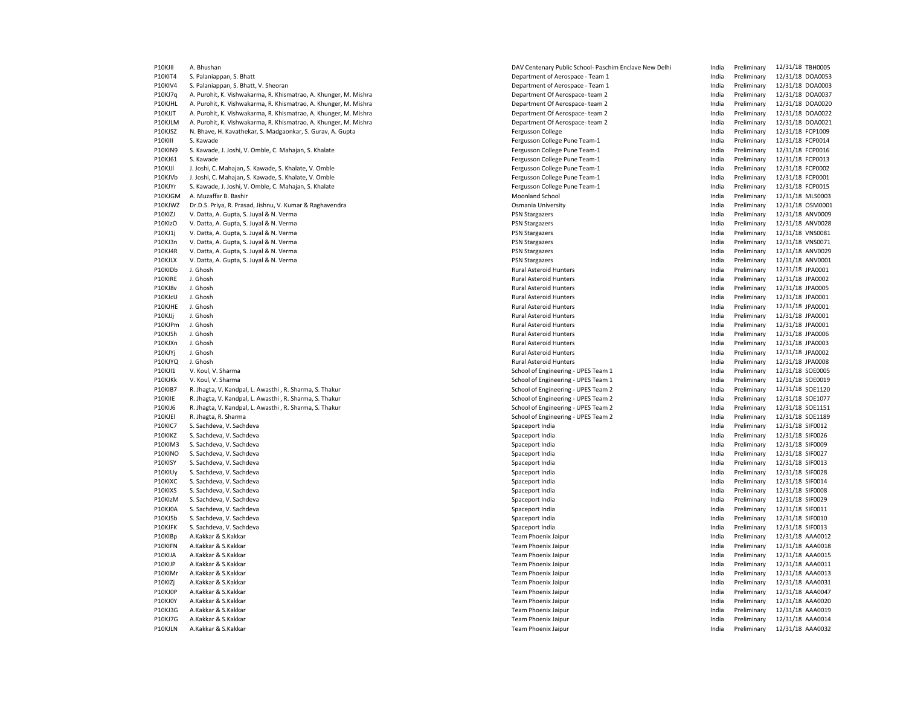P10KJII A. Bhushan DAV Centenary Public School- Paschim Enclave New Delhi India Preliminary 12/31/18 TBH0005 P10KIT4 S. Palaniappan, S. Bhatt S. Palaniappan, S. Bhatt S. Palania Department of Aerospace - Team 1 India Preliminary 12/31/18 DOA0053 P10KIV4 S. Palaniappan, S. Bhatt, V. Sheoran Department of Aerospace - Team 1 India Preliminary 12/31/18 DOA0003 P10KJ7q A. Purohit, K. Vishwakarma, R. Khismatrao, A. Khunger, M. Mishra Department Of Aerospace- team 2 and the matter of Aerospace- team 2 and the modern team and the preliminary 12/31/18 DOA0020 India Preliminary 12/31/ P10KJHL A. Purohit, K. Vishwakarma, R. Khismatrao, A. Khunger, M. Mishra Department Of Aerospace- team 2 and a Preliminary 11-18 of Preliminary 12-31/2018 P10KJJT A. Purohit, K. Vishwakarma, R. Khismatrao, A. Khunger, M. Mishra Department Of Aerospace- team 2 and a material and a preliminary 12/31/18 DOA0022 P10KJLM A. Purohit, K. Vishwakarma, R. Khismatrao, A. Khunger, M. Mishra Department Of Aerospace- team 2 and the undia Preliminary 12/31/18 DOA0021 P10KJSZ N. Bhave, H. Kavathekar, S. Madgaonkar, S. Gurav, A. Gupta Departm P10KJSZ N. Bhave, H. Kavathekar, S. Madgaonkar, S. Gurav, A. Gupta Fergusson College India Preliminary 12/31/18 FCP1009 Pergusson College Pune Team-1 India Preliminary 12/31/31/31/31/31/32111 S. Kawade Pune Team-1 India P10KIN9 S. Kawade, J. Joshi, V. Omble, C. Mahajan, S. Khalate Fergusson College Pune Team-1 Preliminary 12/31/18 FCP0016 P10KJ61 S. Kawade **Fergusson College Pune Team-1** Fergusson College Pune Team-1 **India Preliminary 12/31/18 FCP0013** P10KJJl J. Joshi, C. Mahajan, S. Kawade, S. Khalate, V. Omble Fergusson College Pune Team-1 Pregusson College Pune Team-1 Pune India Preliminary 12/31/18 FCP0002 P10KJVb J. Joshi, C. Mahajan, S. Kawade, S. Khalate, V. Omble Fergusson College Pune Team-1 Fergusson College Pune Team-1 Fergusson College Pune Team-1 India Preliminary 12/31/18 FCP0001 P10KJYr S. Kawade, J. Joshi, V. Omble, C. Mahajan, S. Khalate Fergusson College Pune Team-1 Fergusson College Pune Team-1 Fergusson College Pune Team-1 Fergusson College Pune Team-1 Punch and a Preliminary 12/31/18 FCP0015 P10KJGM A. Muzaffar B. Bashir North Moonland School Moonland School North Moonland School India Preliminary 12/31/18 MLS0003 P10KJWZ Dr.D.S. Priya, R. Prasad, Jishnu, V. Kumar & Raghavendra Camera Camera Camera Commina University Comania University Commina University Commina Preliminary 12/31/18 OSM0001 P10KIZJ V. Datta, A. Gupta, S. Juyal & N. Verma entertainment and the start of the PSN Stargazers and the PSN Stargazers and the Preliminary 12/31/18 ANV0009 P10KIzO V. Datta, A. Gupta, S. Juyal & N. Verma entertainment and the entertainment products are preliminary to the entertainment of the Preliminary 12/31/18 ANV0028 P10KJ1j V. Datta, A. Gupta, S. Juyal & N. Verma entertainment and the started and the PSN Stargazers and the Preliminary 12/31/18 VNS0081 P10KJ3n V. Datta, A. Gupta, S. Juyal & N. Verma entertainment and the started and the PSN Stargazers and the preliminary 12/31/18 VNS0071 P10KJ4R V. Datta, A. Gupta, S. Juyal & N. Verma entertainment and the experiment of the PSN Stargazers and the PSN Stargazers and the Preliminary 12/31/18 ANV0029 P10KJLX V. Datta, A. Gupta, S. Juyal & N. Verma entertainment and the started and the PSN Stargazers and the PSN Stargazers and the Preliminary 12/31/18 ANV0001 P10KIDb J. Ghosh Rural Asteroid Hunters India Preliminary 12/31/18 JPA0001 P10KIRE J. Ghosh Rural Asteroid Hunters India Preliminary 12/31/18 JPA0002 P10KJ8v J. Ghosh Rural Asteroid Hunters India Preliminary 12/31/18 JPA0005 P10KJcU J. Ghosh Rural Asteroid Hunters India Preliminary 12/31/18 JPA0001 P10KJHE J. Ghosh Rural Asteroid Hunters India Preliminary 12/31/18 JPA0001 P10KJJj J. Ghosh Rural Asteroid Hunters India Preliminary 12/31/18 JPA0001 P10KJPm J. Ghosh Rural Asteroid Hunters India Preliminary 12/31/18 JPA0001 P10KJSh J. Ghosh Rural Asteroid Hunters India Preliminary 12/31/18 JPA0006 P10KJXn J.Ghosh Preliminary 12/31/18 JPA0003 Pateroid Hunters Rural Asteroid Hunters Preliminary 12/31/18 JPA0003 P10KJYj J. Ghosh Rural Asteroid Hunters India Preliminary 12/31/18 JPA0002 P10KJYQ J. Ghosh Rural Asteroid Hunters India Preliminary 12/31/18 JPA0008 P10KJI1 V. Koul, V. Sharma School of Engineering - UPES Team The School of Engineering - UPES Team 1 The SCHOOL SCHOOL SCHOOL SCHOOL SCHOOL SCHOOL SCHOOL SCHOOL SCHOOL SCHOOL SCHOOL SCHOOL SCHOOL SCHOOL SCHOOL SCHOOL SCHOO P10KJKk V. Koul, V. Sharma School of Engineering - UPES Team 1 The School of Engineering - UPES Team 1 The India Preliminary 12/31/18 SOE0019 P10KIB7 R. Jhagta, V. Kandpal, L. Awasthi , R. Sharma, S. Thakur School of Engineering - UPES Team 2 India Preliminary 12/31/18 SOE1120 P10KIIE R. Jhagta, V. Kandpal, L. Awasthi , R. Sharma, S. Thakur School et and School of Engineering - UPES Team 2 India Preliminary 12/31/18 SOE1077 P10KIJ6 R. Jhagta, V. Kandpal, L. Awasthi , R. Sharma, S. Thakur School of Engineering - UPES Team 2 and a man and a man and a man and a man and a man and a man and a man and a man and a man and a man and a man and a man a P10KJEl R. Jhagta, R. Sharma School of Engineering - UPES Team 2 India Preliminary 12/31/18 SOE1189 P10KIC7 S. Sachdeva, V. Sachdeva Spaceport India India Preliminary 12/31/18 SIF0012 P10KIKZ S. Sachdeva, V. Sachdeva Spaceport India India Preliminary 12/31/18 SIF0026 P10KIM3 S. Sachdeva, V. Sachdeva Spaceport India India Preliminary 12/31/18 SIF0009 P10KINO S. Sachdeva, V. Sachdeva Spaceport India Spaceport India India India India India Preliminary 12/31/18 SIF0027 P10KISY S. Sachdeva, V. Sachdeva Spaceport India India Preliminary 12/31/18 SIF0013 P10KIUy S. Sachdeva, V. Sachdeva Spaceport India India Preliminary 12/31/18 SIF0028 P10KIXC S. Sachdeva, V. Sachdeva Spaceport India Annual Spaceport India India India India Preliminary 12/31/18 SIF0014 P10KIXS S. Sachdeva, V. Sachdeva Spaceport India India Preliminary 12/31/18 SIF0008 P10KIzM S. Sachdeva, V. Sachdeva Spaceport India India Preliminary 12/31/18 SIF0029 P10KJ0A S. Sachdeva, V. Sachdeva Spaceport India India Preliminary 12/31/18 SIF0011 P10KJ5b S. Sachdeva, V. Sachdeva Spaceport India India Preliminary 12/31/18 SIF0010 P10KJFK S. Sachdeva, V. Sachdeva Spaceport India India Preliminary 12/31/18 SIF0013 P10KIBp A.Kakkar & S.Kakkar Team Phoenix Jaipur India Preliminary 12/31/18 AAA0012 P10KIFN A.Kakkar & S.Kakkar Team Phoenix Jaipur India Preliminary 12/31/18 AAA0018 P10KIJA A.Kakkar & S.Kakkar Team Phoenix Jaipur India Preliminary 12/31/18 AAA0015 P10KIJP A.Kakkar & S.Kakkar Team Phoenix Jaipur India Preliminary 12/31/18 AAA0011 P10KIMr A.Kakkar & S.Kakkar Team Phoenix Jaipur India Preliminary 12/31/18 AAA0013 P10KIZj A.Kakkar & S.Kakkar Team Phoenix Jaipur India Preliminary 12/31/18 AAA0031 P10KJ0P A.Kakkar & S.Kakkar Team Phoenix Jaipur India Preliminary 12/31/18 AAA0047 P10KJ0Y A.Kakkar & S.Kakkar Team Phoenix Jaipur India Preliminary 12/31/18 AAA0020 P10KJ3G A.Kakkar & S.Kakkar Team Phoenix Jaipur India Preliminary 12/31/18 AAA0019 P10KJ7G A.Kakkar & S.Kakkar Team Phoenix Jaipur India Preliminary 12/31/18 AAA0014 P10KJLN A.Kakkar & S.Kakkar Team Phoenix Jaipur India Preliminary 12/31/18 AAA0032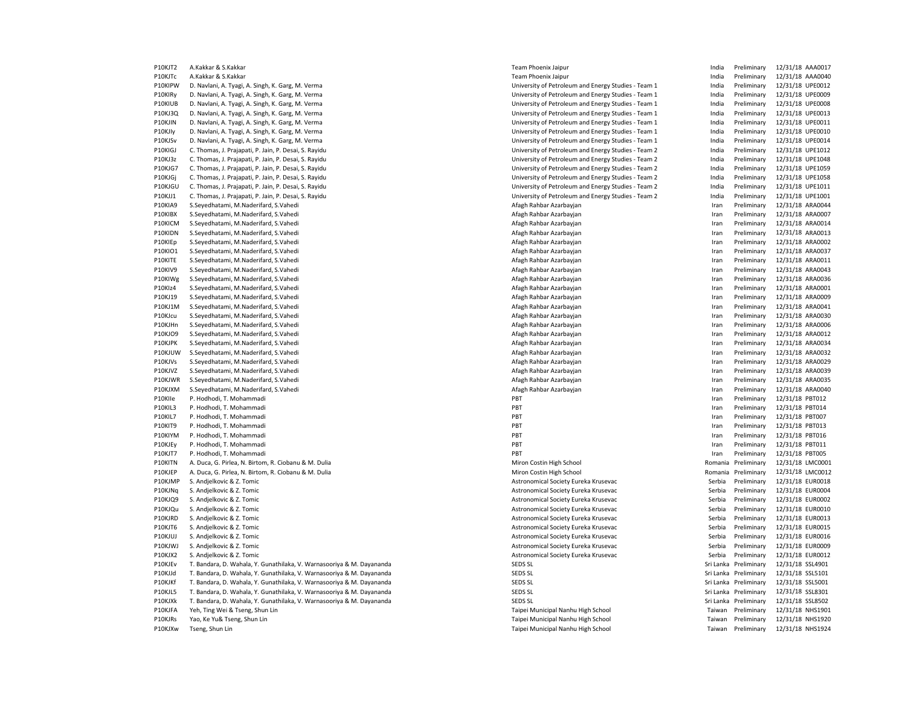| P10KJT2 | A.Kakkar & S.Kakkar                                                   | Team Phoenix Jaipur                                 | India   | Preliminary           | 12/31/18 AAA0017 |
|---------|-----------------------------------------------------------------------|-----------------------------------------------------|---------|-----------------------|------------------|
| P10KJTc | A.Kakkar & S.Kakkar                                                   | Team Phoenix Jaipur                                 | India   | Preliminary           | 12/31/18 AAA0040 |
| P10KIPW | D. Navlani, A. Tyagi, A. Singh, K. Garg, M. Verma                     | University of Petroleum and Energy Studies - Team 1 | India   | Preliminary           | 12/31/18 UPE0012 |
| P10KIRy | D. Navlani, A. Tyagi, A. Singh, K. Garg, M. Verma                     | University of Petroleum and Energy Studies - Team 1 | India   | Preliminary           | 12/31/18 UPE0009 |
| P10KIUB | D. Navlani, A. Tyagi, A. Singh, K. Garg, M. Verma                     | University of Petroleum and Energy Studies - Team 1 | India   | Preliminary           | 12/31/18 UPE0008 |
| P10KJ3Q | D. Navlani, A. Tyagi, A. Singh, K. Garg, M. Verma                     | University of Petroleum and Energy Studies - Team 1 | India   | Preliminary           | 12/31/18 UPE0013 |
| P10KJIN | D. Navlani, A. Tyagi, A. Singh, K. Garg, M. Verma                     | University of Petroleum and Energy Studies - Team 1 | India   | Preliminary           | 12/31/18 UPE0011 |
| P10KJIy | D. Navlani, A. Tyagi, A. Singh, K. Garg, M. Verma                     | University of Petroleum and Energy Studies - Team 1 | India   | Preliminary           | 12/31/18 UPE0010 |
| P10KJSv | D. Navlani, A. Tyagi, A. Singh, K. Garg, M. Verma                     | University of Petroleum and Energy Studies - Team 1 | India   | Preliminary           | 12/31/18 UPE0014 |
| P10KIGJ | C. Thomas, J. Prajapati, P. Jain, P. Desai, S. Rayidu                 | University of Petroleum and Energy Studies - Team 2 | India   | Preliminary           | 12/31/18 UPE1012 |
| P10KJ3z | C. Thomas, J. Prajapati, P. Jain, P. Desai, S. Rayidu                 | University of Petroleum and Energy Studies - Team 2 | India   | Preliminary           | 12/31/18 UPE1048 |
| P10KJG7 | C. Thomas, J. Prajapati, P. Jain, P. Desai, S. Rayidu                 | University of Petroleum and Energy Studies - Team 2 | India   | Preliminary           | 12/31/18 UPE1059 |
| P10KJGj | C. Thomas, J. Prajapati, P. Jain, P. Desai, S. Rayidu                 | University of Petroleum and Energy Studies - Team 2 | India   | Preliminary           | 12/31/18 UPE1058 |
| P10KJGU | C. Thomas, J. Prajapati, P. Jain, P. Desai, S. Rayidu                 | University of Petroleum and Energy Studies - Team 2 | India   | Preliminary           | 12/31/18 UPE1011 |
| P10KJJ1 | C. Thomas, J. Prajapati, P. Jain, P. Desai, S. Rayidu                 | University of Petroleum and Energy Studies - Team 2 | India   | Preliminary           | 12/31/18 UPE1001 |
| P10KIA9 | S.Seyedhatami, M.Naderifard, S.Vahedi                                 | Afagh Rahbar Azarbayjan                             | Iran    | Preliminary           | 12/31/18 ARA0044 |
| P10KIBX | S.Seyedhatami, M.Naderifard, S.Vahedi                                 | Afagh Rahbar Azarbayjan                             | Iran    | Preliminary           | 12/31/18 ARA0007 |
| P10KICM | S.Seyedhatami, M.Naderifard, S.Vahedi                                 | Afagh Rahbar Azarbayjan                             | Iran    | Preliminary           | 12/31/18 ARA0014 |
| P10KIDN | S.Seyedhatami, M.Naderifard, S.Vahedi                                 | Afagh Rahbar Azarbayjan                             | Iran    | Preliminary           | 12/31/18 ARA0013 |
| P10KIEp | S.Seyedhatami, M.Naderifard, S.Vahedi                                 | Afagh Rahbar Azarbayjan                             | Iran    | Preliminary           | 12/31/18 ARA0002 |
|         |                                                                       |                                                     |         |                       |                  |
| P10KIO1 | S.Seyedhatami, M.Naderifard, S.Vahedi                                 | Afagh Rahbar Azarbayjan                             | Iran    | Preliminary           | 12/31/18 ARA0037 |
| P10KITE | S.Seyedhatami, M.Naderifard, S.Vahedi                                 | Afagh Rahbar Azarbayjan                             | Iran    | Preliminary           | 12/31/18 ARA0011 |
| P10KIV9 | S.Seyedhatami, M.Naderifard, S.Vahedi                                 | Afagh Rahbar Azarbayjan                             | Iran    | Preliminary           | 12/31/18 ARA0043 |
| P10KIWg | S.Seyedhatami, M.Naderifard, S.Vahedi                                 | Afagh Rahbar Azarbayjan                             | Iran    | Preliminary           | 12/31/18 ARA0036 |
| P10KIz4 | S.Seyedhatami, M.Naderifard, S.Vahedi                                 | Afagh Rahbar Azarbayjan                             | Iran    | Preliminary           | 12/31/18 ARA0001 |
| P10KJ19 | S.Seyedhatami, M.Naderifard, S.Vahedi                                 | Afagh Rahbar Azarbayjan                             | Iran    | Preliminary           | 12/31/18 ARA0009 |
| P10KJ1M | S.Seyedhatami, M.Naderifard, S.Vahedi                                 | Afagh Rahbar Azarbayjan                             | Iran    | Preliminary           | 12/31/18 ARA0041 |
| P10KJcu | S.Seyedhatami, M.Naderifard, S.Vahedi                                 | Afagh Rahbar Azarbayjan                             | Iran    | Preliminary           | 12/31/18 ARA0030 |
| P10KJHn | S.Seyedhatami, M.Naderifard, S.Vahedi                                 | Afagh Rahbar Azarbayjan                             | Iran    | Preliminary           | 12/31/18 ARA0006 |
| P10KJO9 | S.Seyedhatami, M.Naderifard, S.Vahedi                                 | Afagh Rahbar Azarbayjan                             | Iran    | Preliminary           | 12/31/18 ARA0012 |
| P10KJPK | S.Seyedhatami, M.Naderifard, S.Vahedi                                 | Afagh Rahbar Azarbayjan                             | Iran    | Preliminary           | 12/31/18 ARA0034 |
| P10KJUW | S.Seyedhatami, M.Naderifard, S.Vahedi                                 | Afagh Rahbar Azarbayjan                             | Iran    | Preliminary           | 12/31/18 ARA0032 |
| P10KJVs | S.Seyedhatami, M.Naderifard, S.Vahedi                                 | Afagh Rahbar Azarbayjan                             | Iran    | Preliminary           | 12/31/18 ARA0029 |
| P10KJVZ | S.Seyedhatami, M.Naderifard, S.Vahedi                                 | Afagh Rahbar Azarbayjan                             | Iran    | Preliminary           | 12/31/18 ARA0039 |
| P10KJWR | S.Seyedhatami, M.Naderifard, S.Vahedi                                 | Afagh Rahbar Azarbayjan                             | Iran    | Preliminary           | 12/31/18 ARA0035 |
| P10KJXM | S.Seyedhatami, M.Naderifard, S.Vahedi                                 | Afagh Rahbar Azarbayjan                             | Iran    | Preliminary           | 12/31/18 ARA0040 |
| P10Klle | P. Hodhodi, T. Mohammadi                                              | PBT                                                 | Iran    | Preliminary           | 12/31/18 PBT012  |
| P10KIL3 | P. Hodhodi, T. Mohammadi                                              | PBT                                                 | Iran    | Preliminary           | 12/31/18 PBT014  |
| P10KIL7 | P. Hodhodi, T. Mohammadi                                              | PBT                                                 | Iran    | Preliminary           | 12/31/18 PBT007  |
| P10KIT9 | P. Hodhodi, T. Mohammadi                                              | PBT                                                 | Iran    | Preliminary           | 12/31/18 PBT013  |
| P10KIYM | P. Hodhodi, T. Mohammadi                                              | PBT                                                 | Iran    | Preliminary           | 12/31/18 PBT016  |
| P10KJEy | P. Hodhodi, T. Mohammadi                                              | PBT                                                 | Iran    | Preliminary           | 12/31/18 PBT011  |
| P10KJT7 | P. Hodhodi, T. Mohammadi                                              | PBT                                                 | Iran    | Preliminary           | 12/31/18 PBT005  |
| P10KITN | A. Duca, G. Pirlea, N. Birtom, R. Ciobanu & M. Dulia                  | Miron Costin High School                            | Romania | Preliminary           | 12/31/18 LMC0001 |
| P10KJEP | A. Duca, G. Pirlea, N. Birtom, R. Ciobanu & M. Dulia                  | Miron Costin High School                            |         | Romania Preliminary   |                  |
|         |                                                                       |                                                     |         |                       | 12/31/18 LMC0012 |
| P10KJMP | S. Andjelkovic & Z. Tomic                                             | Astronomical Society Eureka Krusevac                | Serbia  | Preliminary           | 12/31/18 EUR0018 |
| P10KJNq | S. Andjelkovic & Z. Tomic                                             | Astronomical Society Eureka Krusevac                | Serbia  | Preliminary           | 12/31/18 EUR0004 |
| P10KJQ9 | S. Andjelkovic & Z. Tomic                                             | Astronomical Society Eureka Krusevac                | Serbia  | Preliminary           | 12/31/18 EUR0002 |
| P10KJQu | S. Andjelkovic & Z. Tomic                                             | Astronomical Society Eureka Krusevac                | Serbia  | Preliminary           | 12/31/18 EUR0010 |
| P10KJRD | S. Andjelkovic & Z. Tomic                                             | Astronomical Society Eureka Krusevac                | Serbia  | Preliminary           | 12/31/18 EUR0013 |
| P10KJT6 | S. Andjelkovic & Z. Tomic                                             | Astronomical Society Eureka Krusevac                | Serbia  | Preliminary           | 12/31/18 EUR0015 |
| P10KJUJ | S. Andjelkovic & Z. Tomic                                             | Astronomical Society Eureka Krusevac                | Serbia  | Preliminary           | 12/31/18 EUR0016 |
| P10KJWJ | S. Andjelkovic & Z. Tomic                                             | Astronomical Society Eureka Krusevac                | Serbia  | Preliminary           | 12/31/18 EUR0009 |
| P10KJX2 | S. Andjelkovic & Z. Tomic                                             | Astronomical Society Eureka Krusevac                | Serbia  | Preliminary           | 12/31/18 EUR0012 |
| P10KJEv | T. Bandara, D. Wahala, Y. Gunathilaka, V. Warnasooriya & M. Dayananda | SEDS SL                                             |         | Sri Lanka Preliminary | 12/31/18 SSL4901 |
| P10KJJd | T. Bandara, D. Wahala, Y. Gunathilaka, V. Warnasooriya & M. Dayananda | SEDS SL                                             |         | Sri Lanka Preliminary | 12/31/18 SSL5101 |
| P10KJKf | T. Bandara, D. Wahala, Y. Gunathilaka, V. Warnasooriya & M. Dayananda | SEDS SL                                             |         | Sri Lanka Preliminary | 12/31/18 SSL5001 |
| P10KJL5 | T. Bandara, D. Wahala, Y. Gunathilaka, V. Warnasooriya & M. Dayananda | SEDS SL                                             |         | Sri Lanka Preliminary | 12/31/18 SSL8301 |
| P10KJXk | T. Bandara, D. Wahala, Y. Gunathilaka, V. Warnasooriya & M. Dayananda | SEDS SL                                             |         | Sri Lanka Preliminary | 12/31/18 SSL8502 |
| P10KJFA | Yeh, Ting Wei & Tseng, Shun Lin                                       | Taipei Municipal Nanhu High School                  | Taiwan  | Preliminary           | 12/31/18 NHS1901 |
| P10KJRs | Yao, Ke Yu& Tseng, Shun Lin                                           | Taipei Municipal Nanhu High School                  | Taiwan  | Preliminary           | 12/31/18 NHS1920 |
| P10KJXw | Tseng, Shun Lin                                                       | Taipei Municipal Nanhu High School                  | Taiwan  | Preliminary           | 12/31/18 NHS1924 |
|         |                                                                       |                                                     |         |                       |                  |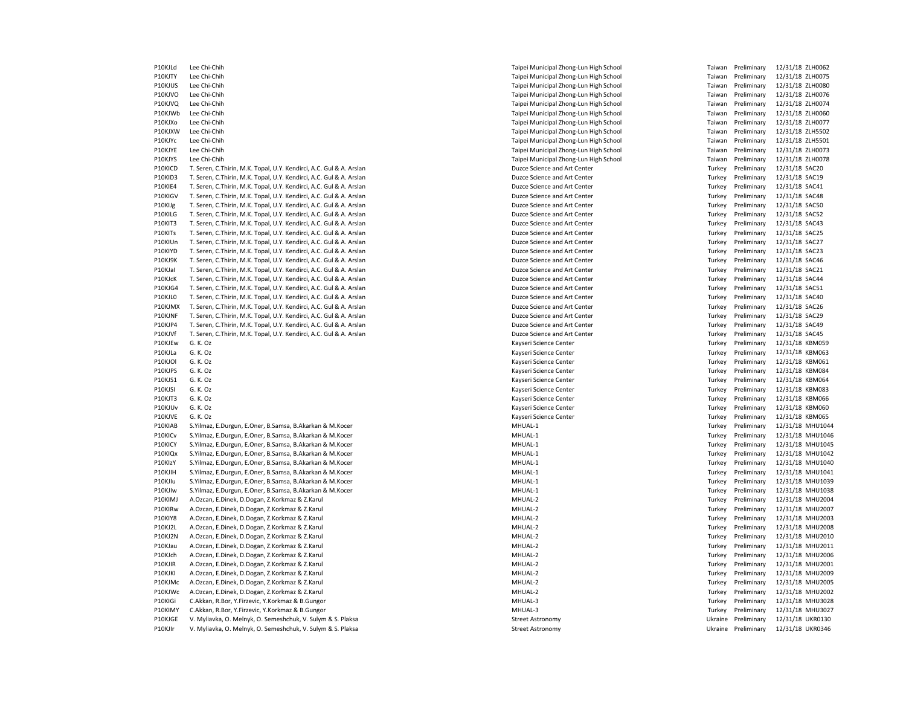P10KJLd Lee Chi-Chih Taipei Municipal Zhong-Lun High School Taiwan Preliminary 12/31/18 ZLH0062 P10KJTY Lee Chi-Chih Taipei Municipal Zhong-Lun High School Taiwan Preliminary 12/31/18 ZLH0075 P10KJUS Lee Chi-Chih Taipei Municipal Zhong-Lun High School Taiwan Preliminary 12/31/18 ZLH0080 P10KJVO Lee Chi-Chih 21/31/18 ZLHOO76 Participal Zhong-Lun High School Taiwan Preliminary 12/31/18 ZLHOO76 P10KJVQ Lee Chi-Chih Taipei Municipal Zhong-Lun High School Taiwan Preliminary 12/31/18 ZLH0074 P10KJWb Lee Chi-Chih Taipei Municipal Zhong-Lun High School Taiwan Preliminary 12/31/18 ZLH0060 P10KJXo Lee Chi-Chih North High School (1989) 1989 - Paper Municipal Zhong-Lun High School Taiwan Preliminary<br>P10KJXW Lee Chi-Chih 12/31/18 ZLH5502 - P10KJ - Taipei Municipal Zhong-Lun High School Taiwan Preliminary 12/31/ Lee Chi-Chih Nunicipal Zhong-Lun High School Taiwan Preliminary 12/31/18 ZLH5502<br>1971-1982 Lee Chi-Chih Taiwan Preliminary 12/31/18 ZLH5501 Nunicipal Zhong-Lun High School Taiwan Preliminary<br>1973-1/18 ZLH5501 Nunicipal Zho P10KJYc Lee Chi-Chih Taiwan Preliminary 120 and 2009 and 2009 and 2009 and 2009 and 2009 and 2009 and 2009 and 2009 and 2009 and 2009 and 2009 and 2009 and 2009 and 2009 and 2009 and 2009 and 2009 and 2009 and 2009 and 200 P10KJYE Lee Chi-Chih Taipei Municipal Zhong-Lun High School Taiwan Preliminary 12/31/18 ZLH0073 P10KJYS Lee Chi-Chih Taiwan Preliminary 12/31/18 ZLH0078 P10KICD T. Seren, C.Thirin, M.K. Topal, U.Y. Kendirci, A.C. Gul & A. Arslan Duzce Street Duzce Science and Art Center Turkey Preliminary 12/31/18 SAC20 P10KID3 T. Seren, C.Thirin, M.K. Topal, U.Y. Kendirci, A.C. Gul & A. Arslan Duzce Science and Art Center Turkey Preliminary 12/31/18 SAC19 P10KIE4 T. Seren, C.Thirin, M.K. Topal, U.Y. Kendirci, A.C. Gul & A. Arslan Duzce Science and Art Center Turkey Preliminary 12/31/18 SAC41 P10KIGV T. Seren, C.Thirin, M.K. Topal, U.Y. Kendirci, A.C. Gul & A. Arslan Duzce Science and Art Center Center Turkey Preliminary 12/31/18 SAC48 P10KIJg T. Seren, C.Thirin, M.K. Topal, U.Y. Kendirci, A.C. Gul & A. Arslan Duzce Science and Art Center Center Turkey Preliminary 12/31/18 SAC50 P10KILG T. Seren, C.Thirin, M.K. Topal, U.Y. Kendirci, A.C. Gul & A. Arslan Duzce Science and Art Center Turkey Preliminary 12/31/18 SAC52 P10KIT3 T. Seren, C.Thirin, M.K. Topal, U.Y. Kendirci, A.C. Gul & A. Arslan Duzce Science and Art Center Turkey Preliminary 12/31/18 SAC43 P10KITs T. Seren, C.Thirin, M.K. Topal, U.Y. Kendirci, A.C. Gul & A. Arslan Duzce Science and Art Center Turkey Preliminary 12/31/18 SAC25 P10KIUn T. Seren, C.Thirin, M.K. Topal, U.Y. Kendirci, A.C. Gul & A. Arslan Duzce Science and Art Center Turkey Preliminary 12/31/18 SAC27 P10KIYD T. Seren, C.Thirin, M.K. Topal, U.Y. Kendirci, A.C. Gul & A. Arslan Duzce Science and Art Center Turkey Preliminary 12/31/18 SAC23 P10KJ9K T. Seren, C.Thirin, M.K. Topal, U.Y. Kendirci, A.C. Gul & A. Arslan Duzce Science and Art Center Turkey Preliminary 12/31/18 SAC46 P10KJaI T. Seren, C.Thirin, M.K. Topal, U.Y. Kendirci, A.C. Gul & A. Arslan Duzce Science and Art Center Turkey Preliminary 12/31/18 SAC21 P10KJcK T. Seren, C.Thirin, M.K. Topal, U.Y. Kendirci, A.C. Gul & A. Arslan Duzce Science and Art Center Turkey Preliminary 12/31/18 SAC44 P10KIG4 T. Seren, C.Thirin, M.K. Topal, U.Y. Kendirci, A.C. Gul & A. Arslan Duzce Science and Art Center Durce Science and Art Center Turkey Preliminary 12/31/18 SAC51 P10KJL0 T. Seren, C.Thirin, M.K. Topal, U.Y. Kendirci, A.C. Gul & A. Arslan Duzce Science and Art Center Art Center Turkey Preliminary 12/31/18 SAC40<br>P10KJMX T. Seren, C.Thirin, M.K. Topal, U.Y. Kendirci, A.C. Gul & A. Ars P10KJMX T. Seren, C.Thirin, M.K. Topal, U.Y. Kendirci, A.C. Gul & A. Arslan Duzce Science and Art Center Turkey Preliminary 12/31/2019 and Art Center Turkey Preliminary P10KJNF T. Seren, C.Thirin, M.K. Topal, U.Y. Kendirci, A.C. Gul & A. Arslan Duzce Science and Art Center Turkey Preliminary 12/31/18 SAC29 P10KJP4 T. Seren, C.Thirin, M.K. Topal, U.Y. Kendirci, A.C. Gul & A. Arslan Duzce Science and Art Center Turkey Preliminary 12/31/18 SAC49 P10KJVf T. Seren, C.Thirin, M.K. Topal, U.Y. Kendirci, A.C. Gul & A. Arslan Duzce Science and Art Center Duzce Science and Art Center Turkey Preliminary 12/31/18 SAC45 P10KJEw G. K. Oz **Example 20: A Contract A Contract Center** Science Center Turkey Preliminary 12/31/18 KBM059 P10KJLa G. K. Oz Kayseri Science Center Turkey Preliminary 12/31/18 KBM063 P10KJOl G. K. Oz Kayseri Science Center Turkey Preliminary 12/31/18 KBM061 P10KJPS G. K. Oz Kayseri Science Center Turkey Preliminary 12/31/18 KBM084 P10KJS1 G. K. Oz Kayseri Science Center Turkey Preliminary 12/31/18 KBM064 P10KJSI G. K. Oz Kayseri Science Center Turkey Preliminary 12/31/18 KBM083 P10KJT3 G. K. Oz Kayseri Science Center Turkey Preliminary 12/31/18 KBM066 P10KJUv G. K. Oz Kayseri Science Center Turkey Preliminary 12/31/18 KBM060 P10KJVE G. K. Oz Kayseri Science Center Turkey Preliminary 12/31/18 KBM065 P10KIAB S.Yilmaz, E.Durgun, E.Oner, B.Samsa, B.Akarkan & M.Kocer MHUAL-1 MHUAL-1 MHUAL-1 Turkey Preliminary 12/31/18 MHU1044 P10KICv S.Yilmaz, E.Durgun, E.Oner, B.Samsa, B.Akarkan & M.Kocer MHUAL-1 MHUAL-1 MHUAL-1 Turkey Preliminary 12/31/18 MHU1046 P10KICY S.Yilmaz, E.Durgun, E.Oner, B.Samsa, B.Akarkan & M.Kocer MHUAL-1 MHUAL-1 MHUAL-1 Turkey Preliminary 12/31/18 MHU1045 P10KIOx S.Yilmaz, E.Durgun, E.Oner, B.Samsa, B.Akarkan & M.Kocer MHUAL-1 MHUAL-1 MHUAL-1 Turkey Preliminary 12/31/18 MHU1042 P10KIzY S.Yilmaz, E.Durgun, E.Oner, B.Samsa, B.Akarkan & M.Kocer MHUAL-1 MHUAL-1 MHUAL-1 Turkey Preliminary 12/31/18 MHU1040 P10KJIH S.Yilmaz, E.Durgun, E.Oner, B.Samsa, B.Akarkan & M.Kocer MHACH MHUAL-1 MHUAL-1 MHUAL-1 Turkey Preliminary 12/31/18 MHU1041 P10KJIu S.Yilmaz, E.Durgun, E.Oner, B.Samsa, B.Akarkan & M.Kocer MHUAL-1 MHUAL-1 MHUAL-1 Turkey Preliminary 12/31/18 MHU1039 P10KJIw S.Yilmaz, E.Durgun, E.Oner, B.Samsa, B.Akarkan & M.Kocer MHUAL-1 MHUAL-1 MHUAL-1 Turkey Preliminary 12/31/18 MHU1038 P10KIMJ A.Ozcan, E.Dinek, D.Dogan, Z.Korkmaz & Z.Karul MHUAL-2 MHUAL-2 MHUAL-2 Turkey Preliminary 12/31/18 MHU2004 P10KIRw A.Ozcan, E.Dinek, D.Dogan, Z.Korkmaz & Z.Karul MHUAL-2 MHUAL-2 MHUAL-2 Turkey Preliminary 12/31/18 MHU2007 P10KIY8 A.Ozcan, E.Dinek, D.Dogan, Z.Korkmaz & Z.Karul MHUAL-2 MHUAL-2 MHUAL-2 Turkey Preliminary 12/31/18 MHU2003 P10KJ2L A.Ozcan, E.Dinek, D.Dogan, Z.Korkmaz & Z.Karul MHUAL-2 MHUAL-2 MHUAL-2 Turkey Preliminary 12/31/18 MHU2008 P10KJ2N A.Ozcan, E.Dinek, D.Dogan, Z.Korkmaz & Z.Karul MHUAL-2 MHUAL-2 MHUAL-2 Turkey Preliminary 12/31/18 MHU2010 P10KJau A.Ozcan, E.Dinek, D.Dogan, Z.Korkmaz & Z.Karul MHUAL-2 MHUAL-2 MHUAL-2 MHUAL-2 Turkey Preliminary 12/31/18 MHU2011 P10KJch A.Ozcan, E.Dinek, D.Dogan, Z.Korkmaz & Z.Karul MHAND-2 MHUAL-2 MHUAL-2 MHUAL-2 Turkey Preliminary 12/31/18 MHU2006 P10KJIR A.Ozcan, E.Dinek, D.Dogan, Z.Korkmaz & Z.Karul MHUAL-2 MHUAL-2 MHUAL-2 MHUAL-2 Turkey Preliminary 12/31/18 MHU2001 P10KJKI A.Ozcan, E.Dinek, D.Dogan, Z.Korkmaz & Z.Karul MHAND MHUAL-2 MHUAL-2 MHUAL-2 Turkey Preliminary 12/31/18 MHU2009 P10KJMc A.Ozcan, E.Dinek, D.Dogan, Z.Korkmaz & Z.Karul MHUAL-2 MHUAL-2 MHUAL-2 MHUAL-2 Turkey Preliminary 12/31/18 MHU2005 P10KJWc A.Ozcan, E.Dinek, D.Dogan, Z.Korkmaz & Z.Karul MHUAL-2 MHUAL-2 MHUAL-2 MHUAL-2 Turkey Preliminary 12/31/18 MHU2002 P10KIGi C.Akkan, R.Bor, Y.Firzevic, Y.Korkmaz & B.Gungor MALE MANUAL-3 MHUAL-3 MHUAL-3 Turkey Preliminary 12/31/18 MHU3028 P10KIMY C.Akkan, R.Bor, Y.Firzevic, Y.Korkmaz & B.Gungor MANUAL-3 MHUAL-3 MHUAL-3 Turkey Preliminary 12/31/18 MHU3027 P10KIGE V. Myliavka, O. Melnyk, O. Semeshchuk, V. Sulym & S. Plaksa Street Astronomy Street Astronomy Street Astronomy Ukraine Preliminary 12/31/18 UKR0130 P10KJIr V. Myliavka, O. Melnyk, O. Semeshchuk, V. Sulym & S. Plaksa Street Astronomy Street Astronomy Street Astronomy Ukraine Preliminary 12/31/18 UKR0346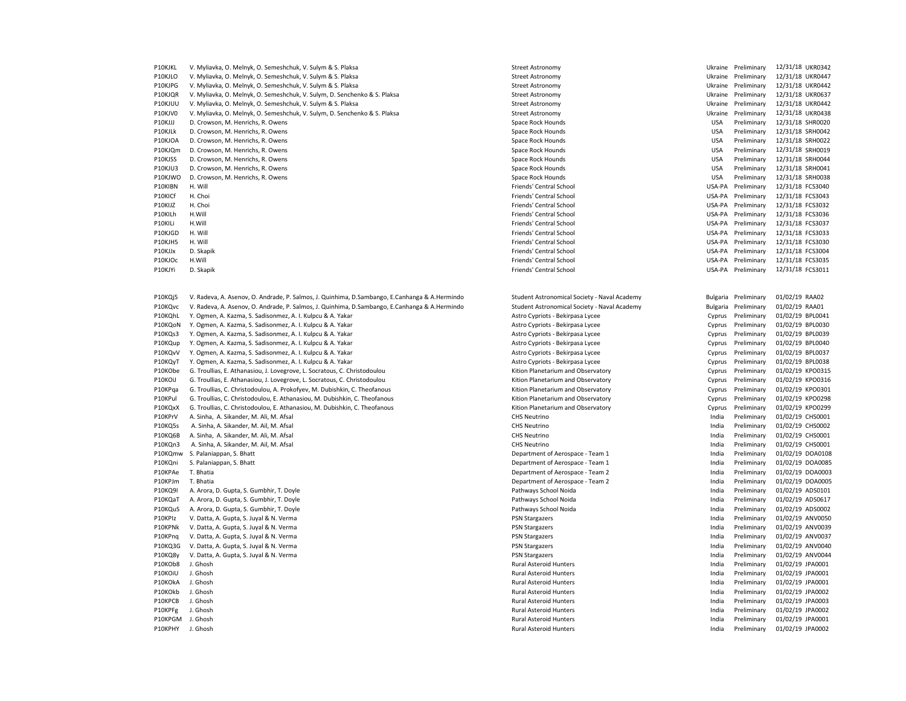| P10KJKL          | V. Myliavka, O. Melnyk, O. Semeshchuk, V. Sulym & S. Plaksa                                      | <b>Street Astronomy</b>                      |            | Ukraine Preliminary  | 12/31/18 UKR0342 |
|------------------|--------------------------------------------------------------------------------------------------|----------------------------------------------|------------|----------------------|------------------|
| P10KJLO          | V. Myliavka, O. Melnyk, O. Semeshchuk, V. Sulym & S. Plaksa                                      | <b>Street Astronomy</b>                      |            | Ukraine Preliminary  | 12/31/18 UKR0447 |
| P10KJPG          | V. Myliavka, O. Melnyk, O. Semeshchuk, V. Sulym & S. Plaksa                                      | <b>Street Astronomy</b>                      |            | Ukraine Preliminary  | 12/31/18 UKR0442 |
| P10KJQR          | V. Myliavka, O. Melnyk, O. Semeshchuk, V. Sulym, D. Senchenko & S. Plaksa                        | <b>Street Astronomy</b>                      |            | Ukraine Preliminary  | 12/31/18 UKR0637 |
| P10KJUU          | V. Myliavka, O. Melnyk, O. Semeshchuk, V. Sulym & S. Plaksa                                      | <b>Street Astronomy</b>                      |            | Ukraine Preliminary  | 12/31/18 UKR0442 |
| P10KJV0          | V. Myliavka, O. Melnyk, O. Semeshchuk, V. Sulym, D. Senchenko & S. Plaksa                        | <b>Street Astronomy</b>                      | Ukraine    | Preliminary          | 12/31/18 UKR0438 |
| P10KJJJ          | D. Crowson, M. Henrichs, R. Owens                                                                | Space Rock Hounds                            | <b>USA</b> | Preliminary          | 12/31/18 SHR0020 |
| P10KJLk          | D. Crowson, M. Henrichs, R. Owens                                                                | Space Rock Hounds                            | <b>USA</b> | Preliminary          | 12/31/18 SRH0042 |
| P10KJOA          | D. Crowson, M. Henrichs, R. Owens                                                                | Space Rock Hounds                            | <b>USA</b> | Preliminary          | 12/31/18 SRH0022 |
| P10KJQm          | D. Crowson, M. Henrichs, R. Owens                                                                | Space Rock Hounds                            | <b>USA</b> | Preliminary          | 12/31/18 SRH0019 |
| P10KJSS          | D. Crowson, M. Henrichs, R. Owens                                                                | Space Rock Hounds                            | <b>USA</b> | Preliminary          | 12/31/18 SRH0044 |
| P10KJU3          | D. Crowson, M. Henrichs, R. Owens                                                                | Space Rock Hounds                            | <b>USA</b> | Preliminary          | 12/31/18 SRH0041 |
| P10KJWO          | D. Crowson, M. Henrichs, R. Owens                                                                | Space Rock Hounds                            | <b>USA</b> | Preliminary          | 12/31/18 SRH0038 |
| P10KIBN          | H. Will                                                                                          | Friends' Central School                      | USA-PA     | Preliminary          | 12/31/18 FCS3040 |
| P10KICf          | H. Choi                                                                                          | Friends' Central School                      | USA-PA     | Preliminary          | 12/31/18 FCS3043 |
| P10KIJZ          | H. Choi                                                                                          | Friends' Central School                      | USA-PA     | Preliminary          | 12/31/18 FCS3032 |
| P10KILh          | H.Will                                                                                           | Friends' Central School                      | USA-PA     | Preliminary          | 12/31/18 FCS3036 |
| P10KILi          | H.Will                                                                                           | Friends' Central School                      | USA-PA     | Preliminary          | 12/31/18 FCS3037 |
| P10KJGD          | H. Will                                                                                          | Friends' Central School                      |            | USA-PA Preliminary   | 12/31/18 FCS3033 |
| P10KJH5          | H. Will                                                                                          | Friends' Central School                      | USA-PA     | Preliminary          | 12/31/18 FCS3030 |
| P10KJJx          | D. Skapik                                                                                        | Friends' Central School                      | USA-PA     | Preliminary          | 12/31/18 FCS3004 |
| P10KJOc          | H.Will                                                                                           | Friends' Central School                      | USA-PA     | Preliminary          | 12/31/18 FCS3035 |
| P10KJYi          | D. Skapik                                                                                        | Friends' Central School                      |            | USA-PA Preliminary   | 12/31/18 FCS3011 |
|                  |                                                                                                  |                                              |            |                      |                  |
| P10KQj5          | V. Radeva, A. Asenov, O. Andrade, P. Salmos, J. Quinhima, D. Sambango, E. Canhanga & A. Hermindo | Student Astronomical Society - Naval Academy |            | Bulgaria Preliminary | 01/02/19 RAA02   |
| P10KQvc          | V. Radeva, A. Asenov, O. Andrade, P. Salmos, J. Quinhima, D. Sambango, E. Canhanga & A. Hermindo | Student Astronomical Society - Naval Academy | Bulgaria   | Preliminary          | 01/02/19 RAA01   |
| P10KQhL          | Y. Ogmen, A. Kazma, S. Sadisonmez, A. I. Kulpcu & A. Yakar                                       | Astro Cypriots - Bekirpasa Lycee             | Cyprus     | Preliminary          | 01/02/19 BPL0041 |
| P10KQoN          | Y. Ogmen, A. Kazma, S. Sadisonmez, A. I. Kulpcu & A. Yakar                                       | Astro Cypriots - Bekirpasa Lycee             | Cyprus     | Preliminary          | 01/02/19 BPL0030 |
| P10KQs3          | Y. Ogmen, A. Kazma, S. Sadisonmez, A. I. Kulpcu & A. Yakar                                       | Astro Cypriots - Bekirpasa Lycee             | Cyprus     | Preliminary          | 01/02/19 BPL0039 |
| P10KQup          | Y. Ogmen, A. Kazma, S. Sadisonmez, A. I. Kulpcu & A. Yakar                                       | Astro Cypriots - Bekirpasa Lycee             | Cyprus     | Preliminary          | 01/02/19 BPL0040 |
| P10KQvV          | Y. Ogmen, A. Kazma, S. Sadisonmez, A. I. Kulpcu & A. Yakar                                       | Astro Cypriots - Bekirpasa Lycee             | Cyprus     | Preliminary          | 01/02/19 BPL0037 |
| P10KQyT          | Y. Ogmen, A. Kazma, S. Sadisonmez, A. I. Kulpcu & A. Yakar                                       | Astro Cypriots - Bekirpasa Lycee             | Cyprus     | Preliminary          | 01/02/19 BPL0038 |
| P10KObe          | G. Troullias, E. Athanasiou, J. Lovegrove, L. Socratous, C. Christodoulou                        | Kition Planetarium and Observatory           | Cyprus     | Preliminary          | 01/02/19 KPO0315 |
| P10KOiJ          | G. Troullias, E. Athanasiou, J. Lovegrove, L. Socratous, C. Christodoulou                        | Kition Planetarium and Observatory           | Cyprus     | Preliminary          | 01/02/19 KPO0316 |
| P10KPqa          | G. Troullias, C. Christodoulou, A. Prokofyev, M. Dubishkin, C. Theofanous                        | Kition Planetarium and Observatory           | Cyprus     | Preliminary          | 01/02/19 KPO0301 |
| P10KPul          | G. Troullias, C. Christodoulou, E. Athanasiou, M. Dubishkin, C. Theofanous                       | Kition Planetarium and Observatory           | Cyprus     | Preliminary          | 01/02/19 KPO0298 |
| P10KQxX          | G. Troullias, C. Christodoulou, E. Athanasiou, M. Dubishkin, C. Theofanous                       | Kition Planetarium and Observatory           | Cyprus     | Preliminary          | 01/02/19 KPO0299 |
| P10KPrV          | A. Sinha, A. Sikander, M. Ali, M. Afsal                                                          | <b>CHS Neutrino</b>                          | India      | Preliminary          | 01/02/19 CHS0001 |
| P10KQ5s          | A. Sinha, A. Sikander, M. Ail, M. Afsal                                                          | <b>CHS Neutrino</b>                          | India      | Preliminary          | 01/02/19 CHS0002 |
| P10KQ6B          | A. Sinha, A. Sikander, M. Ali, M. Afsal                                                          | <b>CHS Neutrino</b>                          | India      | Preliminary          | 01/02/19 CHS0001 |
| P10KQn3          | A. Sinha, A. Sikander, M. Ail, M. Afsal                                                          | <b>CHS Neutrino</b>                          | India      | Preliminary          | 01/02/19 CHS0001 |
| P10KQmw          | S. Palaniappan, S. Bhatt                                                                         | Department of Aerospace - Team 1             | India      | Preliminary          | 01/02/19 DOA0108 |
| P10KQni          | S. Palaniappan, S. Bhatt                                                                         | Department of Aerospace - Team 1             | India      | Preliminary          | 01/02/19 DOA0085 |
| P10KPAe          | T. Bhatia                                                                                        | Department of Aerospace - Team 2             | India      | Preliminary          | 01/02/19 DOA0003 |
| P10KPJm          | T. Bhatia                                                                                        | Department of Aerospace - Team 2             | India      | Preliminary          | 01/02/19 DOA0005 |
| P10KQ9I          | A. Arora, D. Gupta, S. Gumbhir, T. Doyle                                                         | Pathways School Noida                        | India      | Preliminary          | 01/02/19 ADS0101 |
| P10KQaT          | A. Arora, D. Gupta, S. Gumbhir, T. Doyle                                                         | Pathways School Noida                        | India      | Preliminary          | 01/02/19 ADS0617 |
| P10KQuS          | A. Arora, D. Gupta, S. Gumbhir, T. Doyle                                                         | Pathways School Noida                        | India      | Preliminary          | 01/02/19 ADS0002 |
| P10KPIz          | V. Datta, A. Gupta, S. Juyal & N. Verma                                                          | <b>PSN Stargazers</b>                        | India      | Preliminary          | 01/02/19 ANV0050 |
| P10KPNk          | V. Datta, A. Gupta, S. Juyal & N. Verma                                                          | <b>PSN Stargazers</b>                        | India      | Preliminary          | 01/02/19 ANV0039 |
| P10KPnq          | V. Datta, A. Gupta, S. Juyal & N. Verma                                                          | <b>PSN Stargazers</b>                        | India      | Preliminary          | 01/02/19 ANV0037 |
| P10KQ3G          | V. Datta, A. Gupta, S. Juyal & N. Verma                                                          | <b>PSN Stargazers</b>                        | India      | Preliminary          | 01/02/19 ANV0040 |
| P10KQ8y          | V. Datta, A. Gupta, S. Juyal & N. Verma                                                          | <b>PSN Stargazers</b>                        | India      | Preliminary          | 01/02/19 ANV0044 |
| P10KOb8          | J. Ghosh                                                                                         | <b>Rural Asteroid Hunters</b>                | India      | Preliminary          | 01/02/19 JPA0001 |
| P10KOIU          | J. Ghosh                                                                                         | <b>Rural Asteroid Hunters</b>                | India      | Preliminary          | 01/02/19 JPA0001 |
| P10KOkA          | J. Ghosh                                                                                         | <b>Rural Asteroid Hunters</b>                | India      | Preliminary          | 01/02/19 JPA0001 |
| P10KOkb          | J. Ghosh                                                                                         | <b>Rural Asteroid Hunters</b>                | India      | Preliminary          | 01/02/19 JPA0002 |
| P10KPCB          | J. Ghosh                                                                                         | <b>Rural Asteroid Hunters</b>                | India      | Preliminary          | 01/02/19 JPA0003 |
| P10KPFg          | J. Ghosh                                                                                         | <b>Rural Asteroid Hunters</b>                | India      | Preliminary          | 01/02/19 JPA0002 |
| P10KPGM J. Ghosh |                                                                                                  | <b>Rural Asteroid Hunters</b>                | India      | Preliminary          | 01/02/19 JPA0001 |
| P10KPHY          | J. Ghosh                                                                                         | <b>Rural Asteroid Hunters</b>                | India      | Preliminary          | 01/02/19 JPA0002 |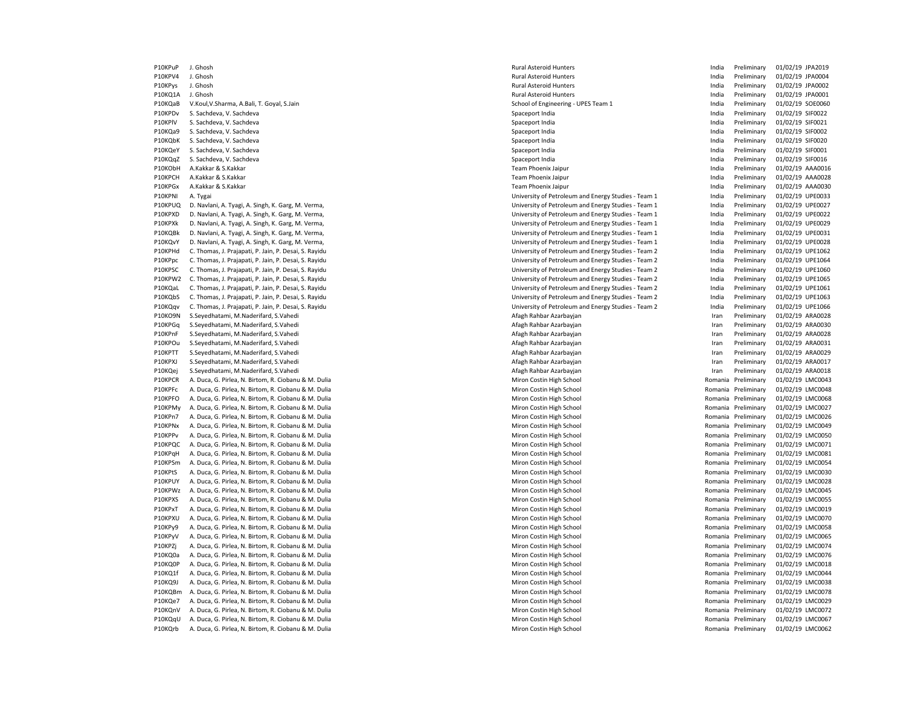P10KPV4 J. Ghosh Rural Asteroid Hunters India Preliminary 01/02/19 JPA0004 P10KPys J. Ghosh Rural Asteroid Hunters India Preliminary 01/02/19 JPA0002 P10KQ1A J. Ghosh Rural Asteroid Hunters India Preliminary 01/02/19 JPA0001 P10KQaB V.Koul,V.Sharma, A.Bali, T. Goyal, S.Jain School of Engineering - UPES Team 1 India Preliminary 01/02/19 SOE0060 P10KPDv S. Sachdeva, V. Sachdeva Spaceport India India India India India India Preliminary 01/02/19 SIF0022 P10KPlV S. Sachdeva, V. Sachdeva Spaceport India India Preliminary 01/02/19 SIF0021 P10KQa9 S. Sachdeva, V. Sachdeva Spaceport India India India Preliminary 01/02/19 SIF0002<br>P10KQbK S. Sachdeva, V. Sachdeva Spaceport India India India India Preliminary 01/02/19 SIF0020 P10KQbK S. Sachdeva, V. Sachdeva Spaceport India India India India India India India India India India India India P10KQeY S. Sachdeva, V. Sachdeva Spaceport India India Preliminary 01/02/19 SIF0001 P10KQqZ S. Sachdeva, V. Sachdeva Spaceport India India Preliminary 01/02/19 SIF0016 P10KObH A.Kakkar & S.Kakkar Team Phoenix Jaipur India Preliminary 01/02/19 AAA0016 P10KPCH A.Kakkar & S.Kakkar Team Phoenix Jaipur India Preliminary 01/02/19 AAA0028 P10KPGx A.Kakkar & S.Kakkar Team Phoenix Jaipur India Preliminary 01/02/19 AAA0030 P10KPNI A. Tygai University of Petroleum and Energy Studies - Team 1 India Preliminary 01/02/19 UPE0033 P10KPUQ D. Navlani, A. Tyagi, A. Singh, K. Garg, M. Verma, University of Petroleum and Energy Studies - Team 1 India Preliminary 01/02/19 UPE0027 P10KPXD D. Navlani, A. Tyagi, A. Singh, K. Garg, M. Verma, Navland, New York Carg, 2002 and Energy Studies - Team 1 India Preliminary 01/02/19 UPE0022 P10KPXk D. Navlani, A. Tyagi, A. Singh, K. Garg, M. Verma, University of Petroleum and Energy Studies - Team 1 India Preliminary 01/02/19 UPE0029 P10KQBk D. Navlani, A. Tyagi, A. Singh, K. Garg, M. Verma, W. Physical Library of Petroleum and Energy Studies - Team 1 India Preliminary 01/02/19 UPE0031 P10KQvY D. Navlani, A. Tyagi, A. Singh, K. Garg, M. Verma, Navlation and Energy Studies - Team 1 March 20102/19 UPE0028 (November 20102/19 UPE0028 01/02/19 UPE0028 P10KPHd C. Thomas, J. Prajapati, P. Jain, P. Desai, S. Rayidu University of Petroleum and Energy Studies - Team 2 India Preliminary 01/02/19 UPE1062 P10KPpc C. Thomas, J. Prajapati, P. Jain, P. Desai, S. Rayidu University of Petroleum and Energy Studies - Team 2 India Preliminary 01/02/19 UPE1064 P10KPSC C. Thomas, J. Prajapati, P. Jain, P. Desai, S. Rayidu University of Petroleum and Energy Studies - Team 2 India Preliminary 01/02/19 UPE1060 P10KPW2 C. Thomas, J. Prajapati, P. Jain, P. Desai, S. Rayidu Networth States and Energy Studies - Team 2 India Preliminary 01/02/19 UPE1065 P10KQaL C. Thomas, J. Prajapati, P. Jain, P. Desai, S. Rayidu University of Petroleum and Energy Studies - Team 2 India Preliminary 01/02/19 UPE1061 P10KQbS C. Thomas, J. Prajapati, P. Jain, P. Desai, S. Rayidu Netal Company and Energy Studies - Team 2 India Preliminary David Desai, D. Papatidu University of Petroleum and Energy Studies - Team 2 India Preliminary 01/02 P10KQqv C. Thomas, J. Prajapati, P. Jain, P. Desai, S. Rayidu University of Petroleum and Energy Studies - Team 2 India P10KO9N S.Seyedhatami, M.Naderifard, S.Vahedi Afagh Rahbar Azarbayjan Iran Preliminary 01/02/19 ARA0028 P10KPGq S.Seyedhatami, M.Naderifard, S.Vahedi Afagh Rahbar Azarbayjan Iran Preliminary 01/02/19 ARA0030 P10KPnF S.Seyedhatami, M.Naderifard, S.Vahedi Afagh Rahbar Azarbayjan Iran Preliminary 01/02/19 ARA0028 P10KPOu S.Seyedhatami, M.Naderifard, S.Vahedi Afagh Rahbar Azarbayjan Iran Preliminary 01/02/19 ARA0031 P10KPTT S.Seyedhatami, M.Naderifard, S.Vahedi Afagh Rahbar Azarbayjan Iran Preliminary 01/02/19 ARA0029 P10KPXJ S.Seyedhatami, M.Naderifard, S.Vahedi Afagh Rahbar Azarbayjan Iran Preliminary 01/02/19 ARA0017 P10KQei S.Seyedhatami, M.Naderifard, S.Vahedi **Afagh Afagh Rahbar Azarbayian** Afagh Rahbar Azarbayian **Iran Preliminary 01/02/19 ARA0018** P10KPCR A. Duca, G. Pirlea, N. Birtom, R. Ciobanu & M. Dulia Miron Costin High School Miron Costin High School Romania Preliminary 01/02/19 LMC0043 P10KPFc A. Duca, G. Pirlea, N. Birtom, R. Ciobanu & M. Dulia Miron Costin High School Miron Costin High School Romania Preliminary 01/02/19 LMC0048 P10KPFO A. Duca, G. Pirlea, N. Birtom, R. Ciobanu & M. Dulia Miron Costin High School Miron Costin High School Romania Preliminary 01/02/19 LMC0068 P10KPMy A. Duca, G. Pirlea, N. Birtom, R. Ciobanu & M. Dulia Miron Costin High School Miron Costin High School Romania Preliminary 01/02/19 LMC0027 P10KPn7 A. Duca, G. Pirlea, N. Birtom, R. Ciobanu & M. Dulia November 1988 and 2002 to the School Miron Costin High School Nuclear And Duca and Preliminary 01/02/19 LMC0026<br>P10KPNx A. Duca, G. Pirlea, N. Birtom, R. Ciobanu P10KPNx A. Duca, G. Pirlea, N. Birtom, R. Ciobanu & M. Dulia November 1988 and 2002 and 2008 and 2008 and 2008 and 2008 and 2008 and 2009 and 2009 and 2009 and 2009 and 2009 and 2009 and 2009 and 2009 and 2009 and 2009 and P10KPPv A. Duca, G. Pirlea, N. Birtom, R. Ciobanu & M. Dulia Miron Costin High School Romania Preliminary 01/02/19 LMC005000500050001 Romania Preliminary 01/03/19 LMC0050001 Romania Preliminary 01/03/19 LMC0050001 Romania P10KPQC A. Duca, G. Pirlea, N. Birtom, R. Ciobanu & M. Dulia Miron Costin High School Miron Costin High School Romania Preliminary 01/02/19 LMC0071 P10KPqH A. Duca, G. Pirlea, N. Birtom, R. Ciobanu & M. Dulia Miron Costin High School Miron Costin High School Romania Preliminary 01/02/19 LMC0081 P10KPSm A. Duca, G. Pirlea, N. Birtom, R. Ciobanu & M. Dulia Miron Costin High School Miron Costin High School Romania Preliminary 01/02/19 LMC0054 P10KPtS A. Duca, G. Pirlea, N. Birtom, R. Ciobanu & M. Dulia Miron Costin High School Miron Costin High School Romania Preliminary 01/02/19 LMC0030 P10KPUY A. Duca, G. Pirlea, N. Birtom, R. Ciobanu & M. Dulia Miron Costin High School Miron Costin High School Romania Preliminary 01/02/19 LMC0028 P10KPWz A. Duca, G. Pirlea, N. Birtom, R. Ciobanu & M. Dulia Miron Costin High School Miron Costin High School Romania Preliminary 01/02/19 LMC0045 P10KPXS A. Duca, G. Pirlea, N. Birtom, R. Ciobanu & M. Dulia Miron Costin High School Miron Costin High School Romania Preliminary 01/02/19 LMC0055 P10KPxT A. Duca, G. Pirlea, N. Birtom, R. Ciobanu & M. Dulia Miron Costin High School Miron Costin High School Romania Preliminary 01/02/19 LMC0019 P10KPXU A. Duca, G. Pirlea, N. Birtom, R. Ciobanu & M. Dulia Miron Costin High School Miron Costin High School Romania Preliminary 01/02/19 LMC0070 P10KPy9 A. Duca, G. Pirlea, N. Birtom, R. Ciobanu & M. Dulia Miron Costin High School Miron Costin High School Romania Preliminary 01/02/19 LMC0058 P10KPyV A. Duca, G. Pirlea, N. Birtom, R. Ciobanu & M. Dulia Miron Costin High School Miron Costin High School Romania Preliminary 01/02/19 LMC0065 P10KPZj A. Duca, G. Pirlea, N. Birtom, R. Ciobanu & M. Dulia Miron Costin High School Miron Costin High School Romania Preliminary 01/02/19 LMC0074 P10KO0a A. Duca, G. Pirlea, N. Birtom, R. Ciobanu & M. Dulia Miron Costin High School Miron Costin High School Romania Preliminary 01/02/19 LMC0076 P10KQ0P A. Duca, G. Pirlea, N. Birtom, R. Ciobanu & M. Dulia Miron Costin High School Miron Costin High School Romania Preliminary 01/02/19 LMC0018 P10KQ1f A. Duca, G. Pirlea, N. Birtom, R. Ciobanu & M. Dulia Miron Costin High School Miron Costin High School Romania Preliminary 01/02/19 LMC0044 P10KQ9J A. Duca G. Pirlea, N. Birtom, R. Ciobanu & M. Dulia Miron Costin High School Miron Costin High School Romania Preliminary 01/02/19 LMC0038 P10KQBm A. Duca G. Pirlea, N. Birtom, R. Ciobanu & M. Dulia Miron Costin High School Miron Costin High School Romania Preliminary 01/02/19 LMC0078 P10KQe7 A. Duca, G. Pirlea, N. Birtom, R. Ciobanu & M. Dulia Miron Costin High School Miron Costin High School Romania Preliminary 01/02/19 LMC0029 P10KOnV A. Duca, G. Pirlea, N. Birtom, R. Ciobanu & M. Dulia Miron Costin High School Miron Costin High School Romania Preliminary 01/02/19 LMC0072 P10KOqu A. Duca, G. Pirlea, N. Birtom, R. Ciobanu & M. Dulia Miron Costin High School Miron Costin High School Romania Preliminary 01/02/19 LMC0067 P10KQrb A. Duca, G. Pirlea, N. Birtom, R. Ciobanu & M. Dulia Miron Costin High School Miron Costin High School Romania Preliminary 01/02/19 LMC0062

P10KPuP J. Ghosh **Product Asteroid Hunters** Rural Asteroid Hunters **Rural Asteroid Hunters** and a Preliminary 01/02/19 JPA2019